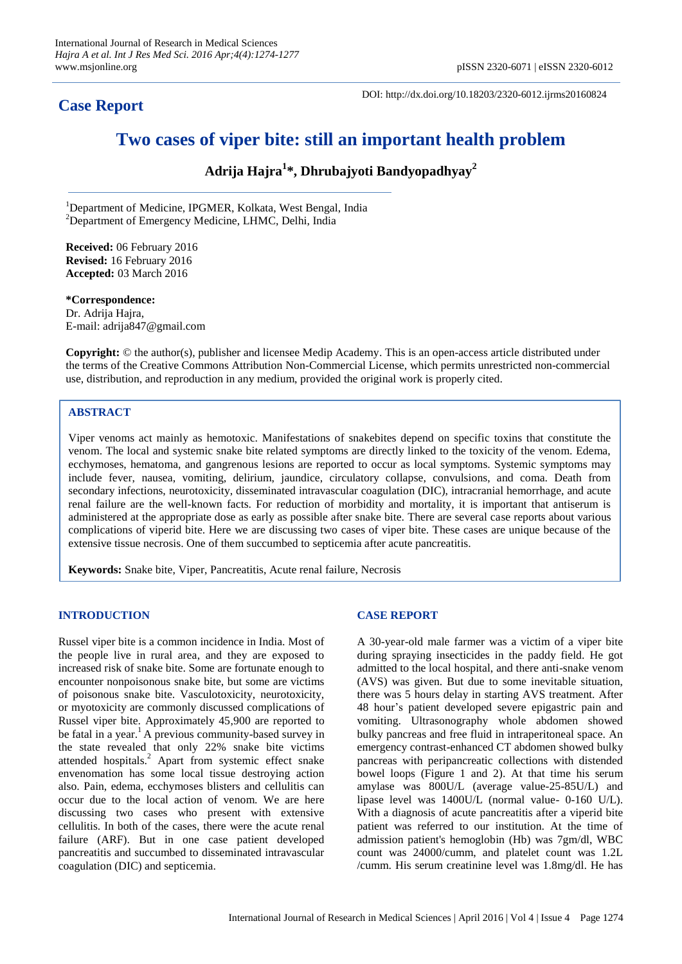# **Case Report**

DOI: http://dx.doi.org/10.18203/2320-6012.ijrms20160824

# **Two cases of viper bite: still an important health problem**

**Adrija Hajra<sup>1</sup> \*, Dhrubajyoti Bandyopadhyay<sup>2</sup>**

<sup>1</sup>Department of Medicine, IPGMER, Kolkata, West Bengal, India <sup>2</sup>Department of Emergency Medicine, LHMC, Delhi, India

**Received:** 06 February 2016 **Revised:** 16 February 2016 **Accepted:** 03 March 2016

**\*Correspondence:** Dr. Adrija Hajra, E-mail: adrija847@gmail.com

**Copyright:** © the author(s), publisher and licensee Medip Academy. This is an open-access article distributed under the terms of the Creative Commons Attribution Non-Commercial License, which permits unrestricted non-commercial use, distribution, and reproduction in any medium, provided the original work is properly cited.

# **ABSTRACT**

Viper venoms act mainly as hemotoxic. Manifestations of snakebites depend on specific toxins that constitute the venom. The local and systemic snake bite related symptoms are directly linked to the toxicity of the venom. Edema, ecchymoses, hematoma, and gangrenous lesions are reported to occur as local symptoms. Systemic symptoms may include fever, nausea, vomiting, delirium, jaundice, circulatory collapse, convulsions, and coma. Death from secondary infections, neurotoxicity, disseminated intravascular coagulation (DIC), intracranial hemorrhage, and acute renal failure are the well-known facts. For reduction of morbidity and mortality, it is important that antiserum is administered at the appropriate dose as early as possible after snake bite. There are several case reports about various complications of viperid bite. Here we are discussing two cases of viper bite. These cases are unique because of the extensive tissue necrosis. One of them succumbed to septicemia after acute pancreatitis.

**Keywords:** Snake bite, Viper, Pancreatitis, Acute renal failure, Necrosis

### **INTRODUCTION**

Russel viper bite is a common incidence in India. Most of the people live in rural area, and they are exposed to increased risk of snake bite. Some are fortunate enough to encounter nonpoisonous snake bite, but some are victims of poisonous snake bite. Vasculotoxicity, neurotoxicity, or myotoxicity are commonly discussed complications of Russel viper bite. Approximately 45,900 are reported to be fatal in a year. <sup>1</sup> A previous community-based survey in the state revealed that only 22% snake bite victims attended hospitals.<sup>2</sup> Apart from systemic effect snake envenomation has some local tissue destroying action also. Pain, edema, ecchymoses blisters and cellulitis can occur due to the local action of venom. We are here discussing two cases who present with extensive cellulitis. In both of the cases, there were the acute renal failure (ARF). But in one case patient developed pancreatitis and succumbed to disseminated intravascular coagulation (DIC) and septicemia.

#### **CASE REPORT**

A 30-year-old male farmer was a victim of a viper bite during spraying insecticides in the paddy field. He got admitted to the local hospital, and there anti-snake venom (AVS) was given. But due to some inevitable situation, there was 5 hours delay in starting AVS treatment. After 48 hour's patient developed severe epigastric pain and vomiting. Ultrasonography whole abdomen showed bulky pancreas and free fluid in intraperitoneal space. An emergency contrast-enhanced CT abdomen showed bulky pancreas with peripancreatic collections with distended bowel loops (Figure 1 and 2). At that time his serum amylase was 800U/L (average value-25-85U/L) and lipase level was 1400U/L (normal value- 0-160 U/L). With a diagnosis of acute pancreatitis after a viperid bite patient was referred to our institution. At the time of admission patient's hemoglobin (Hb) was 7gm/dl, WBC count was 24000/cumm, and platelet count was 1.2L /cumm. His serum creatinine level was 1.8mg/dl. He has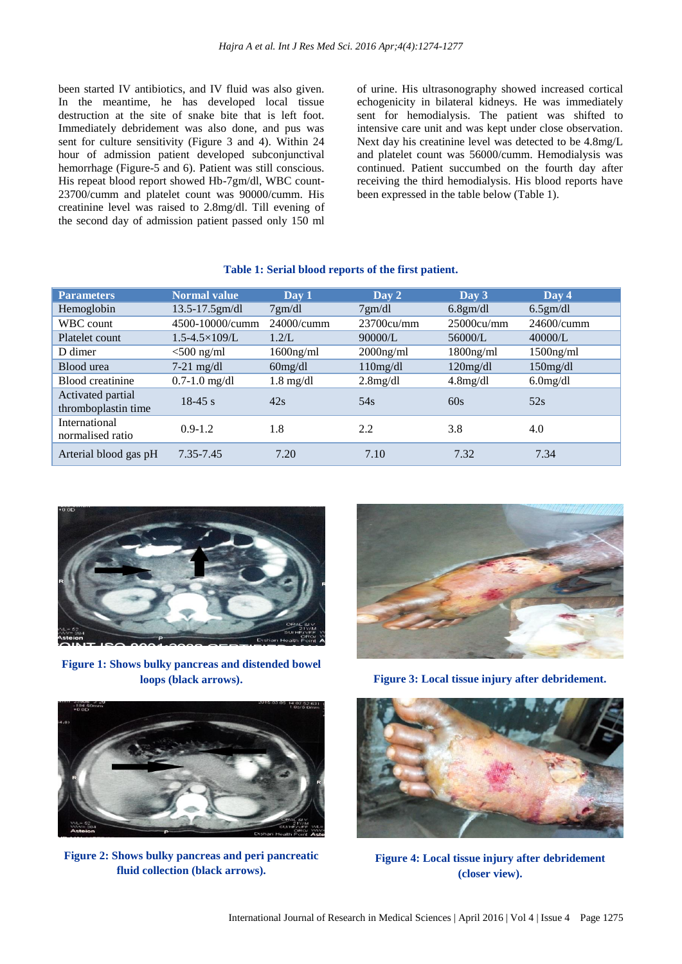been started IV antibiotics, and IV fluid was also given. In the meantime, he has developed local tissue destruction at the site of snake bite that is left foot. Immediately debridement was also done, and pus was sent for culture sensitivity (Figure 3 and 4). Within 24 hour of admission patient developed subconjunctival hemorrhage (Figure-5 and 6). Patient was still conscious. His repeat blood report showed Hb-7gm/dl, WBC count-23700/cumm and platelet count was 90000/cumm. His creatinine level was raised to 2.8mg/dl. Till evening of the second day of admission patient passed only 150 ml of urine. His ultrasonography showed increased cortical echogenicity in bilateral kidneys. He was immediately sent for hemodialysis. The patient was shifted to intensive care unit and was kept under close observation. Next day his creatinine level was detected to be 4.8mg/L and platelet count was 56000/cumm. Hemodialysis was continued. Patient succumbed on the fourth day after receiving the third hemodialysis. His blood reports have been expressed in the table below (Table 1).

| <b>Parameters</b>                        | <b>Normal value</b>       | Day 1               | Day 2            | Day $3$      | Day 4        |
|------------------------------------------|---------------------------|---------------------|------------------|--------------|--------------|
| Hemoglobin                               | $13.5 - 17.5$ gm/dl       | 7gm/dl              | $7 \text{gm/dl}$ | 6.8gm/dl     | $6.5$ gm/dl  |
| WBC count                                | 4500-10000/cumm           | $24000/c$ umm       | 23700cu/mm       | 25000cu/mm   | 24600/cumm   |
| Platelet count                           | $1.5 - 4.5 \times 109$ /L | 1.2/L               | 90000/L          | 56000/L      | 40000/L      |
| D dimer                                  | $<$ 500 ng/ml             | $1600$ ng/ml        | $2000$ ng/ml     | $1800$ ng/ml | $1500$ ng/ml |
| Blood urea                               | $7-21$ mg/dl              | $60$ mg/dl          | 110mg/dl         | $120$ mg/dl  | $150$ mg/dl  |
| Blood creatinine                         | $0.7 - 1.0$ mg/dl         | $1.8 \text{ mg/dl}$ | $2.8$ mg/dl      | 4.8mg/dl     | $6.0$ mg/dl  |
| Activated partial<br>thromboplastin time | $18-45 s$                 | 42s                 | 54 <sub>s</sub>  | 60s          | 52s          |
| International<br>normalised ratio        | $0.9 - 1.2$               | 1.8                 | 2.2              | 3.8          | 4.0          |
| Arterial blood gas pH                    | 7.35-7.45                 | 7.20                | 7.10             | 7.32         | 7.34         |

#### **Table 1: Serial blood reports of the first patient.**



**Figure 1: Shows bulky pancreas and distended bowel loops (black arrows).**





**Figure 2: Shows bulky pancreas and peri pancreatic fluid collection (black arrows).**

**Figure 3: Local tissue injury after debridement.**



**Figure 4: Local tissue injury after debridement (closer view).**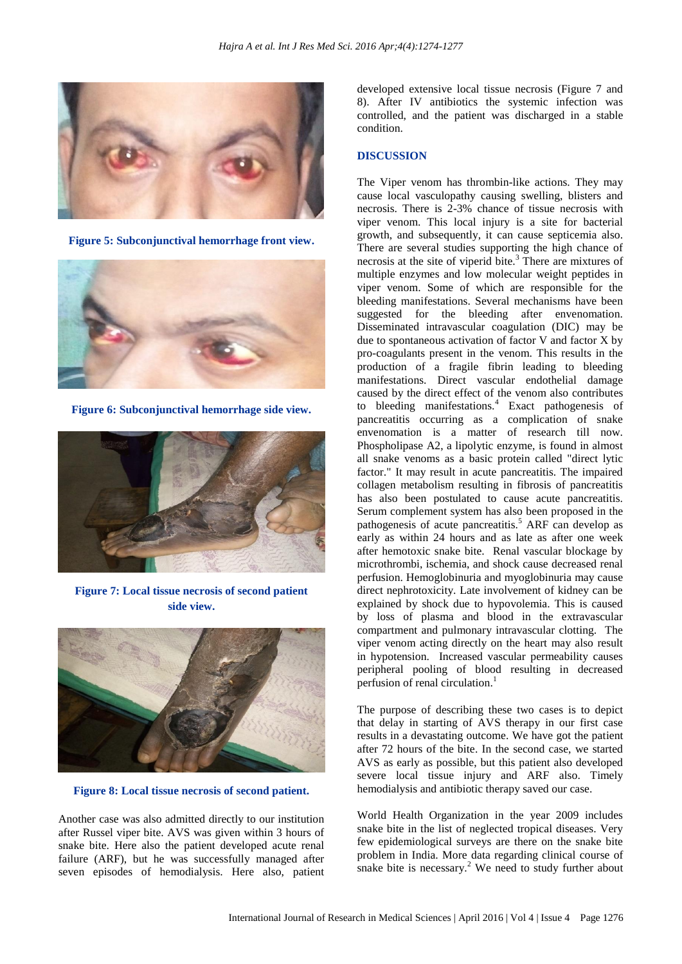

**Figure 5: Subconjunctival hemorrhage front view.**



**Figure 6: Subconjunctival hemorrhage side view.**



**Figure 7: Local tissue necrosis of second patient side view.**



**Figure 8: Local tissue necrosis of second patient.**

Another case was also admitted directly to our institution after Russel viper bite. AVS was given within 3 hours of snake bite. Here also the patient developed acute renal failure (ARF), but he was successfully managed after seven episodes of hemodialysis. Here also, patient developed extensive local tissue necrosis (Figure 7 and 8). After IV antibiotics the systemic infection was controlled, and the patient was discharged in a stable condition.

# **DISCUSSION**

The Viper venom has thrombin-like actions. They may cause local vasculopathy causing swelling, blisters and necrosis. There is 2-3% chance of tissue necrosis with viper venom. This local injury is a site for bacterial growth, and subsequently, it can cause septicemia also. There are several studies supporting the high chance of necrosis at the site of viperid bite.<sup>3</sup> There are mixtures of multiple enzymes and low molecular weight peptides in viper venom. Some of which are responsible for the bleeding manifestations. Several mechanisms have been suggested for the bleeding after envenomation. Disseminated intravascular coagulation (DIC) may be due to spontaneous activation of factor V and factor X by pro-coagulants present in the venom. This results in the production of a fragile fibrin leading to bleeding manifestations. Direct vascular endothelial damage caused by the direct effect of the venom also contributes to bleeding manifestations.<sup>4</sup> Exact pathogenesis of pancreatitis occurring as a complication of snake envenomation is a matter of research till now. Phospholipase A2, a lipolytic enzyme, is found in almost all snake venoms as a basic protein called "direct lytic factor." It may result in acute pancreatitis. The impaired collagen metabolism resulting in fibrosis of pancreatitis has also been postulated to cause acute pancreatitis. Serum complement system has also been proposed in the pathogenesis of acute pancreatitis.<sup>5</sup> ARF can develop as early as within 24 hours and as late as after one week after hemotoxic snake bite. Renal vascular blockage by microthrombi, ischemia, and shock cause decreased renal perfusion. Hemoglobinuria and myoglobinuria may cause direct nephrotoxicity. Late involvement of kidney can be explained by shock due to hypovolemia. This is caused by loss of plasma and blood in the extravascular compartment and pulmonary intravascular clotting. The viper venom acting directly on the heart may also result in hypotension. Increased vascular permeability causes peripheral pooling of blood resulting in decreased perfusion of renal circulation.<sup>1</sup>

The purpose of describing these two cases is to depict that delay in starting of AVS therapy in our first case results in a devastating outcome. We have got the patient after 72 hours of the bite. In the second case, we started AVS as early as possible, but this patient also developed severe local tissue injury and ARF also. Timely hemodialysis and antibiotic therapy saved our case.

World Health Organization in the year 2009 includes snake bite in the list of neglected tropical diseases. Very few epidemiological surveys are there on the snake bite problem in India. More data regarding clinical course of snake bite is necessary. $2$  We need to study further about